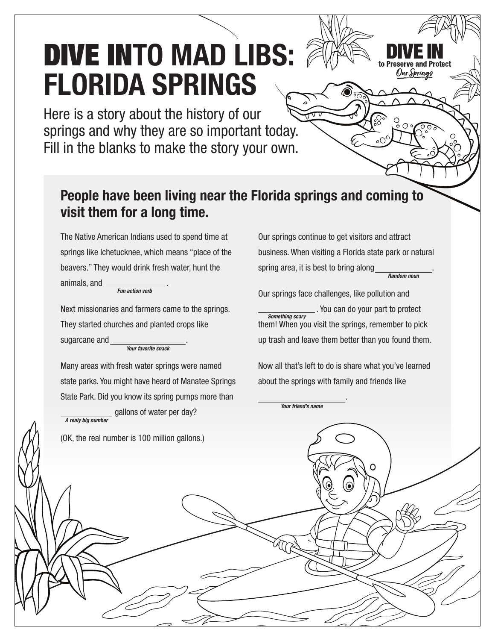## DIVE IN**TO MAD LIBS: FLORIDA SPRINGS**

Here is a story about the history of our springs and why they are so important today. Fill in the blanks to make the story your own.

## **People have been living near the Florida springs and coming to visit them for a long time.**

The Native American Indians used to spend time at springs like Ichetucknee, which means "place of the beavers." They would drink fresh water, hunt the animals, and . *Fun action verb*

Next missionaries and farmers came to the springs. They started churches and planted crops like sugarcane and *Your favorite snack*

Many areas with fresh water springs were named state parks. You might have heard of Manatee Springs State Park. Did you know its spring pumps more than

gallons of water per day?

Our springs continue to get visitors and attract business. When visiting a Florida state park or natural spring area, it is best to bring along *Random noun*

Our Springs

Our springs face challenges, like pollution and . You can do your part to protect them! When you visit the springs, remember to pick up trash and leave them better than you found them. *Something scary*

Now all that's left to do is share what you've learned about the springs with family and friends like

.

*Your friend's name*

*A realy big number* (OK, the real number is 100 million gallons.) ◠